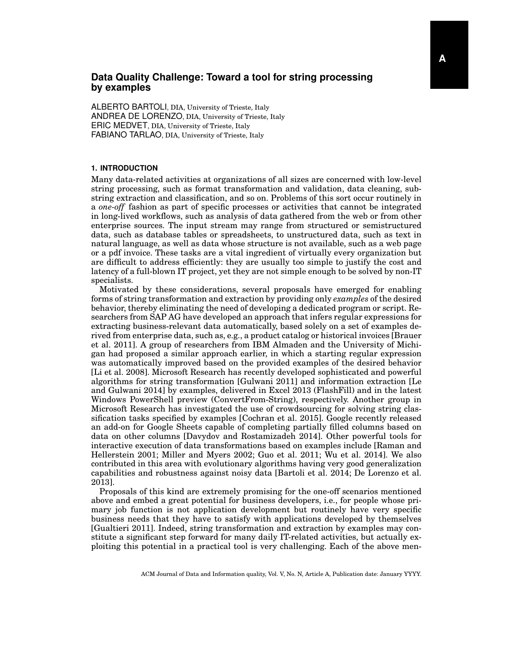## **Data Quality Challenge: Toward a tool for string processing by examples**

ALBERTO BARTOLI, DIA, University of Trieste, Italy ANDREA DE LORENZO, DIA, University of Trieste, Italy ERIC MEDVET, DIA, University of Trieste, Italy FABIANO TARLAO, DIA, University of Trieste, Italy

## **1. INTRODUCTION**

Many data-related activities at organizations of all sizes are concerned with low-level string processing, such as format transformation and validation, data cleaning, substring extraction and classification, and so on. Problems of this sort occur routinely in a *one-off* fashion as part of specific processes or activities that cannot be integrated in long-lived workflows, such as analysis of data gathered from the web or from other enterprise sources. The input stream may range from structured or semistructured data, such as database tables or spreadsheets, to unstructured data, such as text in natural language, as well as data whose structure is not available, such as a web page or a pdf invoice. These tasks are a vital ingredient of virtually every organization but are difficult to address efficiently: they are usually too simple to justify the cost and latency of a full-blown IT project, yet they are not simple enough to be solved by non-IT specialists.

Motivated by these considerations, several proposals have emerged for enabling forms of string transformation and extraction by providing only *examples* of the desired behavior, thereby eliminating the need of developing a dedicated program or script. Researchers from SAP AG have developed an approach that infers regular expressions for extracting business-relevant data automatically, based solely on a set of examples derived from enterprise data, such as, e.g., a product catalog or historical invoices [Brauer et al. 2011]. A group of researchers from IBM Almaden and the University of Michigan had proposed a similar approach earlier, in which a starting regular expression was automatically improved based on the provided examples of the desired behavior [Li et al. 2008]. Microsoft Research has recently developed sophisticated and powerful algorithms for string transformation [Gulwani 2011] and information extraction [Le and Gulwani 2014] by examples, delivered in Excel 2013 (FlashFill) and in the latest Windows PowerShell preview (ConvertFrom-String), respectively. Another group in Microsoft Research has investigated the use of crowdsourcing for solving string classification tasks specified by examples [Cochran et al. 2015]. Google recently released an add-on for Google Sheets capable of completing partially filled columns based on data on other columns [Davydov and Rostamizadeh 2014]. Other powerful tools for interactive execution of data transformations based on examples include [Raman and Hellerstein 2001; Miller and Myers 2002; Guo et al. 2011; Wu et al. 2014]. We also contributed in this area with evolutionary algorithms having very good generalization capabilities and robustness against noisy data [Bartoli et al. 2014; De Lorenzo et al. 2013].

Proposals of this kind are extremely promising for the one-off scenarios mentioned above and embed a great potential for business developers, i.e., for people whose primary job function is not application development but routinely have very specific business needs that they have to satisfy with applications developed by themselves [Gualtieri 2011]. Indeed, string transformation and extraction by examples may constitute a significant step forward for many daily IT-related activities, but actually exploiting this potential in a practical tool is very challenging. Each of the above men-

ACM Journal of Data and Information quality, Vol. V, No. N, Article A, Publication date: January YYYY.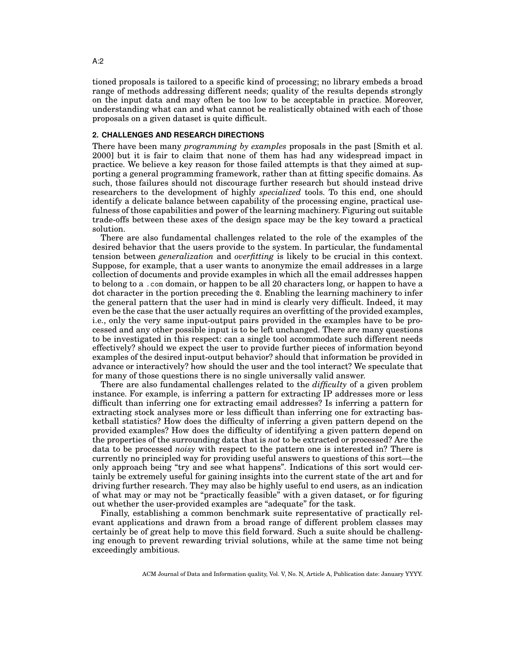tioned proposals is tailored to a specific kind of processing; no library embeds a broad range of methods addressing different needs; quality of the results depends strongly on the input data and may often be too low to be acceptable in practice. Moreover, understanding what can and what cannot be realistically obtained with each of those proposals on a given dataset is quite difficult.

## **2. CHALLENGES AND RESEARCH DIRECTIONS**

There have been many *programming by examples* proposals in the past [Smith et al. 2000] but it is fair to claim that none of them has had any widespread impact in practice. We believe a key reason for those failed attempts is that they aimed at supporting a general programming framework, rather than at fitting specific domains. As such, those failures should not discourage further research but should instead drive researchers to the development of highly *specialized* tools. To this end, one should identify a delicate balance between capability of the processing engine, practical usefulness of those capabilities and power of the learning machinery. Figuring out suitable trade-offs between these axes of the design space may be the key toward a practical solution.

There are also fundamental challenges related to the role of the examples of the desired behavior that the users provide to the system. In particular, the fundamental tension between *generalization* and *overfitting* is likely to be crucial in this context. Suppose, for example, that a user wants to anonymize the email addresses in a large collection of documents and provide examples in which all the email addresses happen to belong to a .com domain, or happen to be all 20 characters long, or happen to have a dot character in the portion preceding the @. Enabling the learning machinery to infer the general pattern that the user had in mind is clearly very difficult. Indeed, it may even be the case that the user actually requires an overfitting of the provided examples, i.e., only the very same input-output pairs provided in the examples have to be processed and any other possible input is to be left unchanged. There are many questions to be investigated in this respect: can a single tool accommodate such different needs effectively? should we expect the user to provide further pieces of information beyond examples of the desired input-output behavior? should that information be provided in advance or interactively? how should the user and the tool interact? We speculate that for many of those questions there is no single universally valid answer.

There are also fundamental challenges related to the *difficulty* of a given problem instance. For example, is inferring a pattern for extracting IP addresses more or less difficult than inferring one for extracting email addresses? Is inferring a pattern for extracting stock analyses more or less difficult than inferring one for extracting basketball statistics? How does the difficulty of inferring a given pattern depend on the provided examples? How does the difficulty of identifying a given pattern depend on the properties of the surrounding data that is *not* to be extracted or processed? Are the data to be processed *noisy* with respect to the pattern one is interested in? There is currently no principled way for providing useful answers to questions of this sort—the only approach being "try and see what happens". Indications of this sort would certainly be extremely useful for gaining insights into the current state of the art and for driving further research. They may also be highly useful to end users, as an indication of what may or may not be "practically feasible" with a given dataset, or for figuring out whether the user-provided examples are "adequate" for the task.

Finally, establishing a common benchmark suite representative of practically relevant applications and drawn from a broad range of different problem classes may certainly be of great help to move this field forward. Such a suite should be challenging enough to prevent rewarding trivial solutions, while at the same time not being exceedingly ambitious.

ACM Journal of Data and Information quality, Vol. V, No. N, Article A, Publication date: January YYYY.